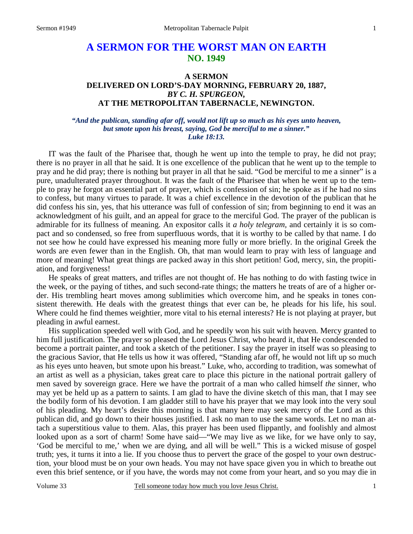# **A SERMON FOR THE WORST MAN ON EARTH NO. 1949**

## **A SERMON DELIVERED ON LORD'S-DAY MORNING, FEBRUARY 20, 1887,** *BY C. H. SPURGEON,*  **AT THE METROPOLITAN TABERNACLE, NEWINGTON.**

### *"And the publican, standing afar off, would not lift up so much as his eyes unto heaven, but smote upon his breast, saying, God be merciful to me a sinner." Luke 18:13.*

IT was the fault of the Pharisee that, though he went up into the temple to pray, he did not pray; there is no prayer in all that he said. It is one excellence of the publican that he went up to the temple to pray and he did pray; there is nothing but prayer in all that he said. "God be merciful to me a sinner" is a pure, unadulterated prayer throughout. It was the fault of the Pharisee that when he went up to the temple to pray he forgot an essential part of prayer, which is confession of sin; he spoke as if he had no sins to confess, but many virtues to parade. It was a chief excellence in the devotion of the publican that he did confess his sin, yes, that his utterance was full of confession of sin; from beginning to end it was an acknowledgment of his guilt, and an appeal for grace to the merciful God. The prayer of the publican is admirable for its fullness of meaning. An expositor calls it *a holy telegram,* and certainly it is so compact and so condensed, so free from superfluous words, that it is worthy to be called by that name. I do not see how he could have expressed his meaning more fully or more briefly. In the original Greek the words are even fewer than in the English. Oh, that man would learn to pray with less of language and more of meaning! What great things are packed away in this short petition! God, mercy, sin, the propitiation, and forgiveness!

He speaks of great matters, and trifles are not thought of. He has nothing to do with fasting twice in the week, or the paying of tithes, and such second-rate things; the matters he treats of are of a higher order. His trembling heart moves among sublimities which overcome him, and he speaks in tones consistent therewith. He deals with the greatest things that ever can be, he pleads for his life, his soul. Where could he find themes weightier, more vital to his eternal interests? He is not playing at prayer, but pleading in awful earnest.

His supplication speeded well with God, and he speedily won his suit with heaven. Mercy granted to him full justification. The prayer so pleased the Lord Jesus Christ, who heard it, that He condescended to become a portrait painter, and took a sketch of the petitioner. I say the prayer in itself was so pleasing to the gracious Savior, that He tells us how it was offered, "Standing afar off, he would not lift up so much as his eyes unto heaven, but smote upon his breast." Luke, who, according to tradition, was somewhat of an artist as well as a physician, takes great care to place this picture in the national portrait gallery of men saved by sovereign grace. Here we have the portrait of a man who called himself *the* sinner, who may yet be held up as a pattern to saints. I am glad to have the divine sketch of this man, that I may see the bodily form of his devotion. I am gladder still to have his prayer that we may look into the very soul of his pleading. My heart's desire this morning is that many here may seek mercy of the Lord as this publican did, and go down to their houses justified. I ask no man to use the same words. Let no man attach a superstitious value to them. Alas, this prayer has been used flippantly, and foolishly and almost looked upon as a sort of charm! Some have said—"We may live as we like, for we have only to say, 'God be merciful to me,' when we are dying, and all will be well." This is a wicked misuse of gospel truth; yes, it turns it into a lie. If you choose thus to pervert the grace of the gospel to your own destruction, your blood must be on your own heads. You may not have space given you in which to breathe out even this brief sentence, or if you have, the words may not come from your heart, and so you may die in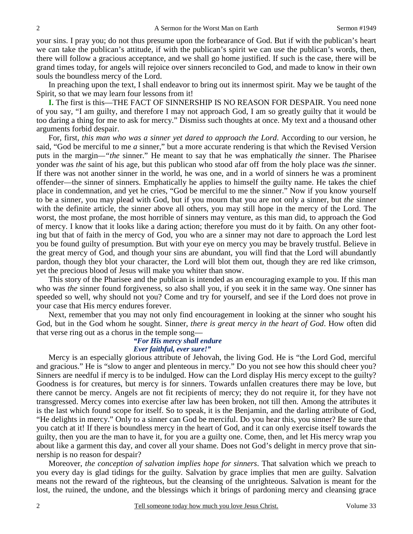your sins. I pray you; do not thus presume upon the forbearance of God. But if with the publican's heart we can take the publican's attitude, if with the publican's spirit we can use the publican's words, then, there will follow a gracious acceptance, and we shall go home justified. If such is the case, there will be grand times today, for angels will rejoice over sinners reconciled to God, and made to know in their own souls the boundless mercy of the Lord.

In preaching upon the text, I shall endeavor to bring out its innermost spirit. May we be taught of the Spirit, so that we may learn four lessons from it!

**I.** The first is this—THE FACT OF SINNERSHIP IS NO REASON FOR DESPAIR. You need none of you say, "I am guilty, and therefore I may not approach God, I am so greatly guilty that it would be too daring a thing for me to ask for mercy." Dismiss such thoughts at once. My text and a thousand other arguments forbid despair.

For, first, *this man who was a sinner yet dared to approach the Lord*. According to our version, he said, "God be merciful to me *a* sinner," but a more accurate rendering is that which the Revised Version puts in the margin*—"the* sinner." He meant to say that he was emphatically *the* sinner. The Pharisee yonder was *the* saint of his age, but this publican who stood afar off from the holy place was *the* sinner. If there was not another sinner in the world, he was one, and in a world of sinners he was a prominent offender—the sinner of sinners. Emphatically he applies to himself the guilty name. He takes the chief place in condemnation, and yet he cries, "God be merciful to me the sinner." Now if you know yourself to be a sinner, you may plead with God, but if you mourn that you are not only a sinner, but *the* sinner with the definite article, the sinner above all others, you may still hope in the mercy of the Lord. The worst, the most profane, the most horrible of sinners may venture, as this man did, to approach the God of mercy. I know that it looks like a daring action; therefore you must do it by faith. On any other footing but that of faith in the mercy of God, you who are a sinner may not dare to approach the Lord lest you be found guilty of presumption. But with your eye on mercy you may be bravely trustful. Believe in the great mercy of God, and though your sins are abundant, you will find that the Lord will abundantly pardon, though they blot your character, the Lord will blot them out, though they are red like crimson, yet the precious blood of Jesus will make you whiter than snow.

This story of the Pharisee and the publican is intended as an encouraging example to you. If this man who was *the* sinner found forgiveness, so also shall you, if you seek it in the same way. One sinner has speeded so well, why should not you? Come and try for yourself, and see if the Lord does not prove in your case that His mercy endures forever.

Next, remember that you may not only find encouragement in looking at the sinner who sought his God, but in the God whom he sought. Sinner, *there is great mercy in the heart of God*. How often did that verse ring out as a chorus in the temple song—

#### *"For His mercy shall endure Ever faithful, ever sure!"*

Mercy is an especially glorious attribute of Jehovah, the living God. He is "the Lord God, merciful and gracious." He is "slow to anger and plenteous in mercy." Do you not see how this should cheer you? Sinners are needful if mercy is to be indulged. How can the Lord display His mercy except to the guilty? Goodness is for creatures, but mercy is for sinners. Towards unfallen creatures there may be love, but there cannot be mercy. Angels are not fit recipients of mercy; they do not require it, for they have not transgressed. Mercy comes into exercise after law has been broken, not till then. Among the attributes it is the last which found scope for itself. So to speak, it is the Benjamin, and the darling attribute of God, "He delights in mercy." Only to a sinner can God be merciful. Do you hear this, you sinner? Be sure that you catch at it! If there is boundless mercy in the heart of God, and it can only exercise itself towards the guilty, then you are the man to have it, for you are a guilty one. Come, then, and let His mercy wrap you about like a garment this day, and cover all your shame. Does not God's delight in mercy prove that sinnership is no reason for despair?

Moreover, *the conception of salvation implies hope for sinners*. That salvation which we preach to you every day is glad tidings for the guilty. Salvation by grace implies that men are guilty. Salvation means not the reward of the righteous, but the cleansing of the unrighteous. Salvation is meant for the lost, the ruined, the undone, and the blessings which it brings of pardoning mercy and cleansing grace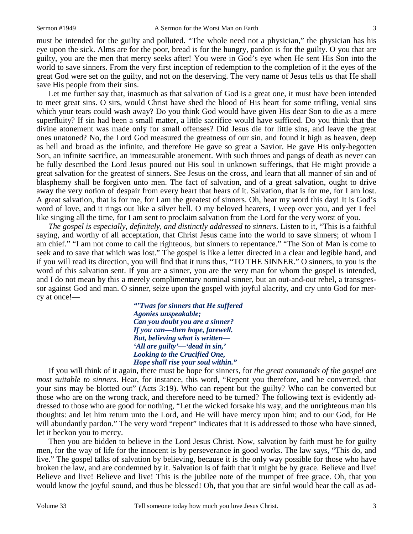must be intended for the guilty and polluted. "The whole need not a physician," the physician has his eye upon the sick. Alms are for the poor, bread is for the hungry, pardon is for the guilty. O you that are guilty, you are the men that mercy seeks after! You were in God's eye when He sent His Son into the world to save sinners. From the very first inception of redemption to the completion of it the eyes of the great God were set on the guilty, and not on the deserving. The very name of Jesus tells us that He shall save His people from their sins.

Let me further say that, inasmuch as that salvation of God is a great one, it must have been intended to meet great sins. O sirs, would Christ have shed the blood of His heart for some trifling, venial sins which your tears could wash away? Do you think God would have given His dear Son to die as a mere superfluity? If sin had been a small matter, a little sacrifice would have sufficed. Do you think that the divine atonement was made only for small offenses? Did Jesus die for little sins, and leave the great ones unatoned? No, the Lord God measured the greatness of our sin, and found it high as heaven, deep as hell and broad as the infinite, and therefore He gave so great a Savior. He gave His only-begotten Son, an infinite sacrifice, an immeasurable atonement. With such throes and pangs of death as never can be fully described the Lord Jesus poured out His soul in unknown sufferings, that He might provide a great salvation for the greatest of sinners. See Jesus on the cross, and learn that all manner of sin and of blasphemy shall be forgiven unto men. The fact of salvation, and of a great salvation, ought to drive away the very notion of despair from every heart that hears of it. Salvation, that is for me, for I am lost. A great salvation, that is for me, for I am the greatest of sinners. Oh, hear my word this day! It is God's word of love, and it rings out like a silver bell. O my beloved hearers, I weep over you, and yet I feel like singing all the time, for I am sent to proclaim salvation from the Lord for the very worst of you.

*The gospel is especially, definitely, and distinctly addressed to sinners*. Listen to it, "This is a faithful saying, and worthy of all acceptation, that Christ Jesus came into the world to save sinners; of whom I am chief." "I am not come to call the righteous, but sinners to repentance." "The Son of Man is come to seek and to save that which was lost." The gospel is like a letter directed in a clear and legible hand, and if you will read its direction, you will find that it runs thus, "TO THE SINNER." O sinners, to you is the word of this salvation sent. If you are a sinner, you are the very man for whom the gospel is intended, and I do not mean by this a merely complimentary nominal sinner, but an out-and-out rebel, a transgressor against God and man. O sinner, seize upon the gospel with joyful alacrity, and cry unto God for mercy at once!—

> *"'Twas for sinners that He suffered Agonies unspeakable; Can you doubt you are a sinner? If you can—then hope, farewell. But, believing what is written— 'All are guilty'—'dead in sin,' Looking to the Crucified One, Hope shall rise your soul within."*

If you will think of it again, there must be hope for sinners, for *the great commands of the gospel are most suitable to sinners*. Hear, for instance, this word, "Repent you therefore, and be converted, that your sins may be blotted out" (Acts 3:19). Who can repent but the guilty? Who can be converted but those who are on the wrong track, and therefore need to be turned? The following text is evidently addressed to those who are good for nothing, "Let the wicked forsake his way, and the unrighteous man his thoughts: and let him return unto the Lord, and He will have mercy upon him; and to our God, for He will abundantly pardon." The very word "repent" indicates that it is addressed to those who have sinned, let it beckon you to mercy.

Then you are bidden to believe in the Lord Jesus Christ. Now, salvation by faith must be for guilty men, for the way of life for the innocent is by perseverance in good works. The law says, "This do, and live." The gospel talks of salvation by believing, because it is the only way possible for those who have broken the law, and are condemned by it. Salvation is of faith that it might be by grace. Believe and live! Believe and live! Believe and live! This is the jubilee note of the trumpet of free grace. Oh, that you would know the joyful sound, and thus be blessed! Oh, that you that are sinful would hear the call as ad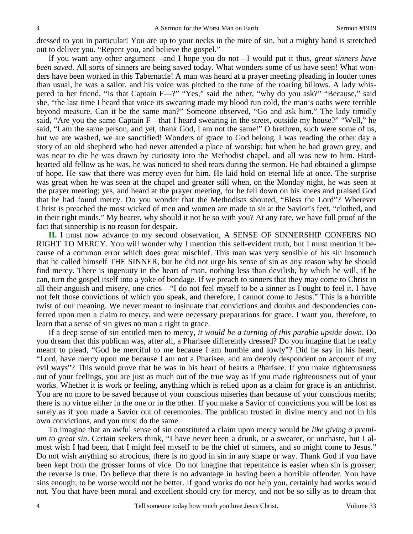dressed to you in particular! You are up to your necks in the mire of sin, but a mighty hand is stretched out to deliver you. "Repent you, and believe the gospel."

If you want any other argument—and I hope you do not—I would put it thus, *great sinners have been saved*. All sorts of sinners are being saved today. What wonders some of us have seen! What wonders have been worked in this Tabernacle! A man was heard at a prayer meeting pleading in louder tones than usual, he was a sailor, and his voice was pitched to the tune of the roaring billows. A lady whispered to her friend, "Is that Captain F—?" "Yes," said the other, "why do you ask?" "Because," said she, "the last time I heard that voice its swearing made my blood run cold, the man's oaths were terrible beyond measure. Can it be the same man?" Someone observed, "Go and ask him." The lady timidly said, "Are you the same Captain F—that I heard swearing in the street, outside my house?" "Well," he said, "I am the same person, and yet, thank God, I am not the same!" O brethren, such were some of us, but we are washed, we are sanctified! Wonders of grace to God belong. I was reading the other day a story of an old shepherd who had never attended a place of worship; but when he had grown grey, and was near to die he was drawn by curiosity into the Methodist chapel, and all was new to him. Hardhearted old fellow as he was, he was noticed to shed tears during the sermon. He had obtained a glimpse of hope. He saw that there was mercy even for him. He laid hold on eternal life at once. The surprise was great when he was seen at the chapel and greater still when, on the Monday night, he was seen at the prayer meeting; yes, and heard at the prayer meeting, for he fell down on his knees and praised God that he had found mercy. Do you wonder that the Methodists shouted, "Bless the Lord"? Wherever Christ is preached the most wicked of men and women are made to sit at the Savior's feet, "clothed, and in their right minds." My hearer, why should it not be so with you? At any rate, we have full proof of the fact that sinnership is no reason for despair.

**II.** I must now advance to my second observation, A SENSE OF SINNERSHIP CONFERS NO RIGHT TO MERCY. You will wonder why I mention this self-evident truth, but I must mention it because of a common error which does great mischief. This man was very sensible of his sin insomuch that he called himself THE SINNER, but he did not urge his sense of sin as any reason why he should find mercy. There is ingenuity in the heart of man, nothing less than devilish, by which he will, if he can, turn the gospel itself into a yoke of bondage. If we preach to sinners that they may come to Christ in all their anguish and misery, one cries—"I do not feel myself to be a sinner as I ought to feel it. I have not felt those convictions of which you speak, and therefore, I cannot come to Jesus." This is a horrible twist of our meaning. We never meant to insinuate that convictions and doubts and despondencies conferred upon men a claim to mercy, and were necessary preparations for grace. I want you, therefore, to learn that a sense of sin gives no man a right to grace.

If a deep sense of sin entitled men to mercy, *it would be a turning of this parable upside down*. Do you dream that this publican was, after all, a Pharisee differently dressed? Do you imagine that he really meant to plead, "God be merciful to me because I am humble and lowly"? Did he say in his heart, "Lord, have mercy upon me because I am not a Pharisee, and am deeply despondent on account of my evil ways"? This would prove that he was in his heart of hearts a Pharisee. If you make righteousness out of your feelings, you are just as much out of the true way as if you made righteousness out of your works. Whether it is work or feeling, anything which is relied upon as a claim for grace is an antichrist. You are no more to be saved because of your conscious miseries than because of your conscious merits; there is no virtue either in the one or in the other. If you make a Savior of convictions you will be lost as surely as if you made a Savior out of ceremonies. The publican trusted in divine mercy and not in his own convictions, and you must do the same.

To imagine that an awful sense of sin constituted a claim upon mercy would be *like giving a premium to great sin*. Certain seekers think, "I have never been a drunk, or a swearer, or unchaste, but I almost wish I had been, that I might feel myself to be the chief of sinners, and so might come to Jesus." Do not wish anything so atrocious, there is no good in sin in any shape or way. Thank God if you have been kept from the grosser forms of vice. Do not imagine that repentance is easier when sin is grosser; the reverse is true. Do believe that there is no advantage in having been a horrible offender. You have sins enough; to be worse would not be better. If good works do not help you, certainly bad works would not. You that have been moral and excellent should cry for mercy, and not be so silly as to dream that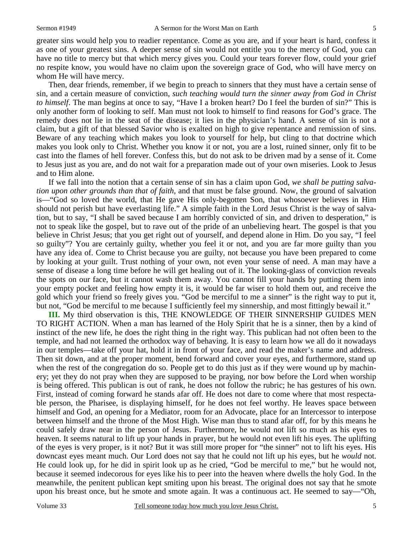greater sins would help you to readier repentance. Come as you are, and if your heart is hard, confess it as one of your greatest sins. A deeper sense of sin would not entitle you to the mercy of God, you can have no title to mercy but that which mercy gives you. Could your tears forever flow, could your grief no respite know, you would have no claim upon the sovereign grace of God, who will have mercy on whom He will have mercy.

Then, dear friends, remember, if we begin to preach to sinners that they must have a certain sense of sin, and a certain measure of conviction, *such teaching would turn the sinner away from God in Christ to himself*. The man begins at once to say, "Have I a broken heart? Do I feel the burden of sin?" This is only another form of looking to self. Man must not look to himself to find reasons for God's grace. The remedy does not lie in the seat of the disease; it lies in the physician's hand. A sense of sin is not a claim, but a gift of that blessed Savior who is exalted on high to give repentance and remission of sins. Beware of any teaching which makes you look to yourself for help, but cling to that doctrine which makes you look only to Christ. Whether you know it or not, you are a lost, ruined sinner, only fit to be cast into the flames of hell forever. Confess this, but do not ask to be driven mad by a sense of it. Come to Jesus just as you are, and do not wait for a preparation made out of your own miseries. Look to Jesus and to Him alone.

If we fall into the notion that a certain sense of sin has a claim upon God, *we shall be putting salvation upon other grounds than that of faith,* and that must be false ground. Now, the ground of salvation is—"God so loved the world, that He gave His only-begotten Son, that whosoever believes in Him should not perish but have everlasting life." A simple faith in the Lord Jesus Christ is the way of salvation, but to say, "I shall be saved because I am horribly convicted of sin, and driven to desperation," is not to speak like the gospel, but to rave out of the pride of an unbelieving heart. The gospel is that you believe in Christ Jesus; that you get right out of yourself, and depend alone in Him. Do you say, "I feel so guilty"? You are certainly guilty, whether you feel it or not, and you are far more guilty than you have any idea of. Come to Christ because you are guilty, not because you have been prepared to come by looking at your guilt. Trust nothing of your own, not even your sense of need. A man may have a sense of disease a long time before he will get healing out of it. The looking-glass of conviction reveals the spots on our face, but it cannot wash them away. You cannot fill your hands by putting them into your empty pocket and feeling how empty it is, it would be far wiser to hold them out, and receive the gold which your friend so freely gives you. "God be merciful to me a sinner" is the right way to put it, but not, "God be merciful to me because I sufficiently feel my sinnership, and most fittingly bewail it."

**III.** My third observation is this, THE KNOWLEDGE OF THEIR SINNERSHIP GUIDES MEN TO RIGHT ACTION. When a man has learned of the Holy Spirit that he is a sinner, then by a kind of instinct of the new life, he does the right thing in the right way. This publican had not often been to the temple, and had not learned the orthodox way of behaving. It is easy to learn how we all do it nowadays in our temples—take off your hat, hold it in front of your face, and read the maker's name and address. Then sit down, and at the proper moment, bend forward and cover your eyes, and furthermore, stand up when the rest of the congregation do so. People get to do this just as if they were wound up by machinery; yet they do not pray when they are supposed to be praying, nor bow before the Lord when worship is being offered. This publican is out of rank, he does not follow the rubric; he has gestures of his own. First, instead of coming forward he stands afar off. He does not dare to come where that most respectable person, the Pharisee, is displaying himself, for he does not feel worthy. He leaves space between himself and God, an opening for a Mediator, room for an Advocate, place for an Intercessor to interpose between himself and the throne of the Most High. Wise man thus to stand afar off, for by this means he could safely draw near in the person of Jesus. Furthermore, he would not lift so much as his eyes to heaven. It seems natural to lift up your hands in prayer, but he would not even lift his eyes. The uplifting of the eyes is very proper, is it not? But it was still more proper for "the sinner" not to lift his eyes. His downcast eyes meant much. Our Lord does not say that he could not lift up his eyes, but he *would* not. He could look up, for he did in spirit look up as he cried, "God be merciful to me," but he would not, because it seemed indecorous for eyes like his to peer into the heaven where dwells the holy God. In the meanwhile, the penitent publican kept smiting upon his breast. The original does not say that he smote upon his breast once, but he smote and smote again. It was a continuous act. He seemed to say—"Oh,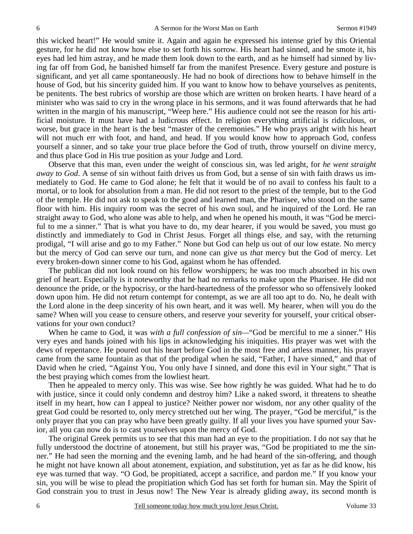this wicked heart!" He would smite it. Again and again he expressed his intense grief by this Oriental gesture, for he did not know how else to set forth his sorrow. His heart had sinned, and he smote it, his eyes had led him astray, and he made them look down to the earth, and as he himself had sinned by living far off from God, he banished himself far from the manifest Presence. Every gesture and posture is significant, and yet all came spontaneously. He had no book of directions how to behave himself in the house of God, but his sincerity guided him. If you want to know how to behave yourselves as penitents, be penitents. The best rubrics of worship are those which are written on broken hearts. I have heard of a minister who was said to cry in the wrong place in his sermons, and it was found afterwards that he had written in the margin of his manuscript, "Weep here." His audience could not see the reason for his artificial moisture. It must have had a ludicrous effect. In religion everything artificial is ridiculous, or worse, but grace in the heart is the best "master of the ceremonies." He who prays aright with his heart will not much err with foot, and hand, and head. If you would know how to approach God, confess yourself a sinner, and so take your true place before the God of truth, throw yourself on divine mercy, and thus place God in His true position as your Judge and Lord.

Observe that this man, even under the weight of conscious sin, was led aright, for *he went straight away to God*. A sense of sin without faith drives us from God, but a sense of sin with faith draws us immediately to God. He came to God alone; he felt that it would be of no avail to confess his fault to a mortal, or to look for absolution from a man. He did not resort to the priest of the temple, but to the God of the temple. He did not ask to speak to the good and learned man, the Pharisee, who stood on the same floor with him. His inquiry room was the secret of his own soul, and he inquired of the Lord. He ran straight away to God, who alone was able to help, and when he opened his mouth, it was "God be merciful to me a sinner." That is what you have to do, my dear hearer, if you would be saved, you must go distinctly and immediately to God in Christ Jesus. Forget all things else, and say, with the returning prodigal, "I will arise and go to my Father." None but God can help us out of our low estate. No mercy but the mercy of God can serve our turn, and none can give us *that* mercy but the God of mercy. Let every broken-down sinner come to his God, against whom he has offended.

The publican did not look round on his fellow worshippers; he was too much absorbed in his own grief of heart. Especially is it noteworthy that he had no remarks to make upon the Pharisee. He did not denounce the pride, or the hypocrisy, or the hard-heartedness of the professor who so offensively looked down upon him. He did not return contempt for contempt, as we are all too apt to do. No, he dealt with the Lord alone in the deep sincerity of his own heart, and it was well. My hearer, when will you do the same? When will you cease to censure others, and reserve your severity for yourself, your critical observations for your own conduct?

When he came to God, it was *with a full confession of sin—*"God be merciful to me a sinner." His very eyes and hands joined with his lips in acknowledging his iniquities. His prayer was wet with the dews of repentance. He poured out his heart before God in the most free and artless manner, his prayer came from the same fountain as that of the prodigal when he said, "Father, I have sinned," and that of David when he cried, "Against You, You only have I sinned, and done this evil in Your sight." That is the best praying which comes from the lowliest heart.

Then he appealed to mercy only. This was wise. See how rightly he was guided. What had he to do with justice, since it could only condemn and destroy him? Like a naked sword, it threatens to sheathe itself in my heart, how can I appeal to justice? Neither power nor wisdom, nor any other quality of the great God could be resorted to, only mercy stretched out her wing. The prayer, "God be merciful," is the only prayer that you can pray who have been greatly guilty. If all your lives you have spurned your Savior, all you can now do is to cast yourselves upon the mercy of God.

The original Greek permits us to see that this man had an eye to the propitiation. I do not say that he fully understood the doctrine of atonement, but still his prayer was, "God be propitiated to me the sinner." He had seen the morning and the evening lamb, and he had heard of the sin-offering, and though he might not have known all about atonement, expiation, and substitution, yet as far as he did know, his eye was turned that way. "O God, be propitiated, accept a sacrifice, and pardon me." If you know your sin, you will be wise to plead the propitiation which God has set forth for human sin. May the Spirit of God constrain you to trust in Jesus now! The New Year is already gliding away, its second month is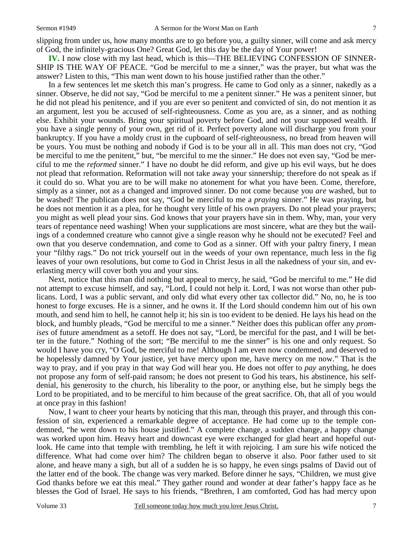slipping from under us, how many months are to go before you, a guilty sinner, will come and ask mercy of God, the infinitely-gracious One? Great God, let this day be the day of Your power!

**IV.** I now close with my last head, which is this—THE BELIEVING CONFESSION OF SINNER-SHIP IS THE WAY OF PEACE. "God be merciful to me a sinner," was the prayer, but what was the answer? Listen to this, "This man went down to his house justified rather than the other."

In a few sentences let me sketch this man's progress. He came to God only as a sinner, nakedly as a sinner. Observe, he did not say, "God be merciful to me a penitent sinner." He was a penitent sinner, but he did not plead his penitence, and if you are ever so penitent and convicted of sin, do not mention it as an argument, lest you be accused of self-righteousness. Come as you are, as a sinner, and as nothing else. Exhibit your wounds. Bring your spiritual poverty before God, and not your supposed wealth. If you have a single penny of your own, get rid of it. Perfect poverty alone will discharge you from your bankruptcy. If you have a moldy crust in the cupboard of self-righteousness, no bread from heaven will be yours. You must be nothing and nobody if God is to be your all in all. This man does not cry, "God be merciful to me the penitent," but, "be merciful to me the sinner." He does not even say, "God be merciful to me the *reformed* sinner." I have no doubt he did reform, and give up his evil ways, but he does not plead that reformation. Reformation will not take away your sinnership*;* therefore do not speak as if it could do so. What you are to be will make no atonement for what you have been. Come, therefore, simply as a sinner, not as a changed and improved sinner. Do not come because you *are* washed, but to be washed! The publican does not say, "God be merciful to me a *praying* sinner." He was praying, but he does not mention it as a plea, for he thought very little of his own prayers. Do not plead your prayers; you might as well plead your sins. God knows that your prayers have sin in them. Why, man, your very tears of repentance need washing! When your supplications are most sincere, what are they but the wailings of a condemned creature who cannot give a single reason why he should not be executed? Feel and own that you deserve condemnation, and come to God as a sinner. Off with your paltry finery, I mean your "filthy rags." Do not trick yourself out in the weeds of your own repentance, much less in the fig leaves of your own resolutions, but come to God in Christ Jesus in all the nakedness of your sin, and everlasting mercy will cover both you and your sins.

Next, notice that this man did nothing but appeal to mercy, he said, "God be merciful to me." He did not attempt to excuse himself, and say, "Lord, I could not help it. Lord, I was not worse than other publicans. Lord, I was a public servant, and only did what every other tax collector did." No, no, he is too honest to forge excuses. He is a sinner, and he owns it. If the Lord should condemn him out of his own mouth, and send him to hell, he cannot help it; his sin is too evident to be denied. He lays his head on the block, and humbly pleads, "God be merciful to me a sinner." Neither does this publican offer any *promises* of future amendment as a setoff. He does not say, "Lord, be merciful for the past, and I will be better in the future." Nothing of the sort; "Be merciful to me the sinner" is his one and only request. So would I have you cry, "O God, be merciful to me! Although I am even now condemned, and deserved to be hopelessly damned by Your justice, yet have mercy upon me, have mercy on me now." That is the way to pray, and if you pray in that way God will hear you. He does not offer to *pay* anything, he does not propose any form of self-paid ransom; he does not present to God his tears, his abstinence, his selfdenial, his generosity to the church, his liberality to the poor, or anything else, but he simply begs the Lord to be propitiated, and to be merciful to him because of the great sacrifice. Oh, that all of you would at once pray in this fashion!

Now, I want to cheer your hearts by noticing that this man, through this prayer, and through this confession of sin, experienced a remarkable degree of acceptance. He had come up to the temple condemned, "he went down to his house justified." A complete change, a sudden change, a happy change was worked upon him. Heavy heart and downcast eye were exchanged for glad heart and hopeful outlook. He came into that temple with trembling, he left it with rejoicing. I am sure his wife noticed the difference. What had come over him? The children began to observe it also. Poor father used to sit alone, and heave many a sigh, but all of a sudden he is so happy, he even sings psalms of David out of the latter end of the book. The change was very marked. Before dinner he says, "Children, we must give God thanks before we eat this meal." They gather round and wonder at dear father's happy face as he blesses the God of Israel. He says to his friends, "Brethren, I am comforted, God has had mercy upon